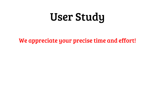# User Study

### We appreciate your precise time and effort!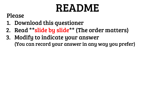# README

### Please

- 1. Download this questioner
- 2. Read \*\*slide by slide\*\* (The order matters)
- 3. Modify to indicate your answer (You can record your answer in any way you prefer)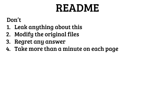# README

### Don't

- 1. Leak anything about this
- 2. Modify the original files
- 3. Regret any answer
- 4. Take more than a minute on each page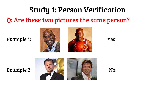# Study 1: Person Verification

## Q: Are these two pictures the same person?





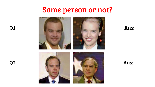

### Ans:

 $Q1$ 

 $Q<sub>2</sub>$ 



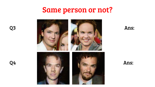

Ans:

Q<sub>3</sub>

Q4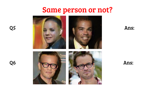

Ans:

Ans:

Q5

Q<sub>6</sub>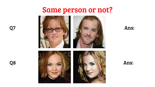

Ans:

Q7

Q8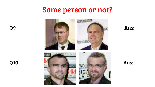

Ans:

**Q10** 

Q<sub>9</sub>

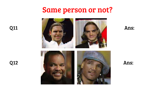**Q11** 

**Q12** 





Ans: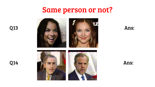**Q13** 

**Q14** 



Ans: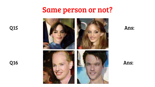**Q15** 

**Q16** 



Ans: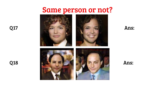



Ans:





Ans:

**Q17** 

**Q18**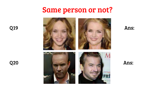**Q19** 

**Q20** 



Ans: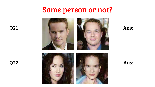**Q21** 



Ans:

**Q22** 



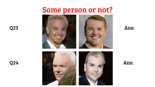

Ans:

**Q23** 





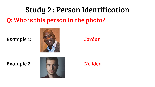# Study 2 : Person Identification

Q: Who is this person in the photo?

Example 1: Jordan



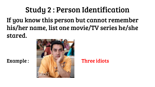# Study 2 : Person Identification

If you know this person but cannot remember his/her name, list one movie/TV series he/she stared.

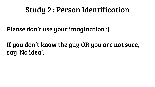# Study 2 : Person Identification

## Please don't use your imagination :)

## If you don't know the guy OR you are not sure, say 'No idea'.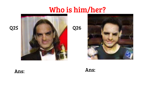

**Q26** 



Ans:

**Q25**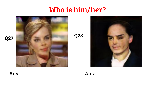**Q28** 





Ans: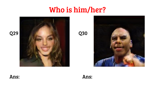**Q30** 







### Ans: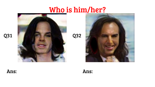**Q32** 





Ans:



**Q31**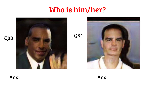



Ans: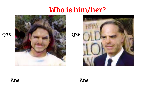



Ans:

**Q35**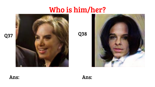**Q38** 





Ans:

**Q37** 

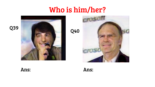

**Q40** 

Ans:

Ans:

### **Q39**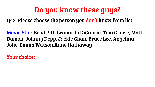Q42: Please choose the person you don't know from list:

Movie Star: Brad Pitt, Leonardo DiCaprio, Tom Cruise, Matt Damon, Johnny Depp, Jackie Chan, Bruce Lee, Angelina Jolie, Emma Watson,Anne Hathaway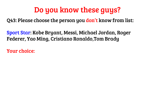Q43: Please choose the person you don't know from list:

Sport Star: Kobe Bryant, Messi, Michael Jordan, Roger Federer, Yao Ming, Cristiano Ronaldo,Tom Brady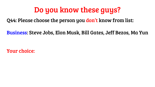Q44: Please choose the person you don't know from list:

Business: Steve Jobs, Elon Musk, Bill Gates, Jeff Bezos, Ma Yun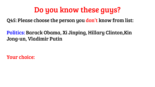Q45: Please choose the person you don't know from list:

### Politics: Barack Obama, Xi Jinping, Hillary Clinton,Kin Jong-un, Vladimir Putin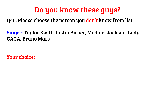Q46: Please choose the person you don't know from list:

Singer: Taylor Swift, Justin Bieber, Michael Jackson, Lady GAGA, Bruno Mars